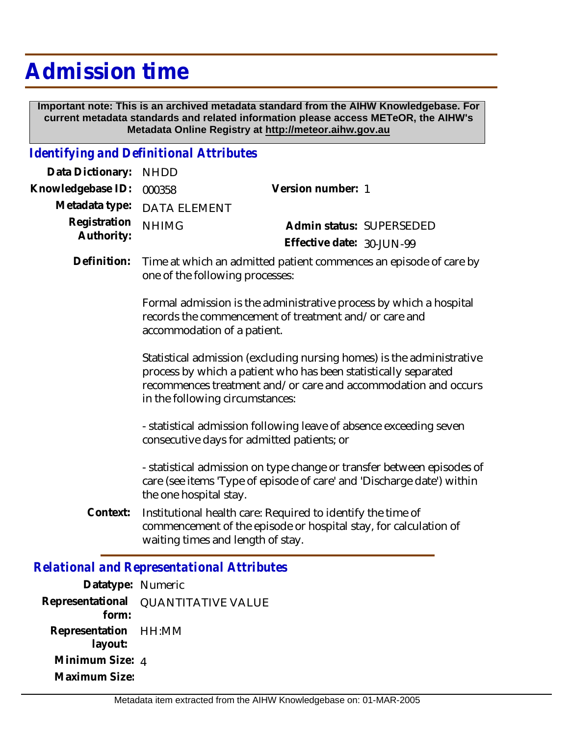# **Admission time**

 **Important note: This is an archived metadata standard from the AIHW Knowledgebase. For current metadata standards and related information please access METeOR, the AIHW's Metadata Online Registry at http://meteor.aihw.gov.au**

#### *Identifying and Definitional Attributes*

| Data Dictionary:           | <b>NHDD</b>                                                                                                                                                                                                                                   |                                                                                                                                 |  |
|----------------------------|-----------------------------------------------------------------------------------------------------------------------------------------------------------------------------------------------------------------------------------------------|---------------------------------------------------------------------------------------------------------------------------------|--|
| Knowledgebase ID:          | 000358                                                                                                                                                                                                                                        | Version number: 1                                                                                                               |  |
| Metadata type:             | <b>DATA ELEMENT</b>                                                                                                                                                                                                                           |                                                                                                                                 |  |
| Registration<br>Authority: | <b>NHIMG</b>                                                                                                                                                                                                                                  | Admin status: SUPERSEDED<br>Effective date: 30-JUN-99                                                                           |  |
| Definition:                | one of the following processes:                                                                                                                                                                                                               | Time at which an admitted patient commences an episode of care by                                                               |  |
|                            | Formal admission is the administrative process by which a hospital<br>records the commencement of treatment and/or care and<br>accommodation of a patient.                                                                                    |                                                                                                                                 |  |
|                            | Statistical admission (excluding nursing homes) is the administrative<br>process by which a patient who has been statistically separated<br>recommences treatment and/or care and accommodation and occurs<br>in the following circumstances: |                                                                                                                                 |  |
|                            | - statistical admission following leave of absence exceeding seven<br>consecutive days for admitted patients; or                                                                                                                              |                                                                                                                                 |  |
|                            | - statistical admission on type change or transfer between episodes of<br>care (see items 'Type of episode of care' and 'Discharge date') within<br>the one hospital stay.                                                                    |                                                                                                                                 |  |
| Context:                   | waiting times and length of stay.                                                                                                                                                                                                             | Institutional health care: Required to identify the time of<br>commencement of the episode or hospital stay, for calculation of |  |
|                            | Relational and Representational Attributes                                                                                                                                                                                                    |                                                                                                                                 |  |

#### *Relational and Representational Attributes*

| Datatype: Numeric                     |                           |
|---------------------------------------|---------------------------|
| Representational<br>form <sup>.</sup> | <b>QUANTITATIVE VALUE</b> |
| Representation HH:MM<br>layout:       |                           |
| Minimum Size: 4                       |                           |
| Maximum Size:                         |                           |
|                                       |                           |